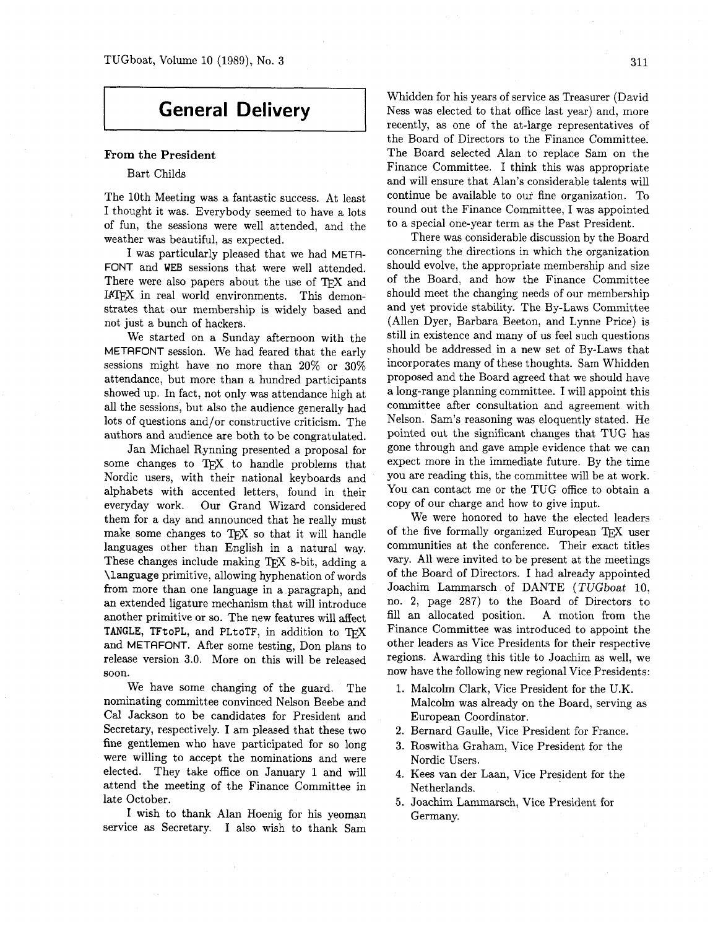### **General Delivery**

#### **From the President**

#### Bart Childs

The 10th Meeting was a fantastic success. At least I thought it was. Everybody seemed to have a lots of fun, the sessions were well attended, and the weather was beautiful, as expected.

I was particularly pleased that we had META-FONT and WEB sessions that were well attended. There were also papers about the use of TFX and IATEX in real world environments. This demonstrates that our membership is widely based and not just a bunch of hackers.

We started on a Sunday afternoon with the METAFONT session. We had feared that the early sessions might have no more than 20% or 30% attendance, but more than a hundred participants showed up. In fact, not only was attendance high at all the sessions, but also the audience generally had lots of questions and/or constructive criticism. The authors and audience are both to be congratulated.

Jan Michael Rynning presented a proposal for some changes to TFX to handle problems that Nordic users, with their national keyboards and alphabets with accented letters, found in their everyday work. Our Grand Wizard considered them for a day and announced that he really must make some changes to TEX so that it will handle languages other than English in a natural way. These changes include making TEX 8-bit, adding a **\language** primitive, allowing hyphenation of words from more than one language in a paragraph, and an extended ligature mechanism that will introduce another primitive or so. The new features will affect TANGLE, TFtoPL, and PLtoTF, in addition to TFX and METAFONT. After some testing, Don plans to release version **3.0.** More on this will be released soon.

We have some changing of the guard. The nominating committee convinced Nelson Beebe and Cal Jackson to be candidates for President and Secretary, respectively. I am pleased that these two fine gentlemen who have participated for so long were willing to accept the nominations and were elected. They take office on January 1 and will attend the meeting of the Finance Committee in late October.

I wish to thank Alan Hoenig for his yeoman service as Secretary. I also wish to thank Sam

Whidden for his years of service as Treasurer (David Ness was elected to that office last year) and, more recently, as one of the at-large representatives of the Board of Directors to the Finance Committee. The Board selected Alan to replace Sam on the Finance Committee. I think this was appropriate and will ensure that Alan's considerable talents will continue be available to our fine organization. To round out the Finance Committee, I was appointed to a special one-year term as the Past President.

There was considerable discussion by the Board concerning the directions in which the organization should evolve, the appropriate membership and size of the Board, and how the Finance Committee should meet the changing needs of our membership and yet provide stability. The By-Laws Committee (Allen Dyer, Barbara Beeton, and Lynne Price) is still in existence and many of us feel such questions should be addressed in a new set of By-Laws that incorporates many of these thoughts. Sam Whidden proposed and the Board agreed that we should have a long-range planning committee. I will appoint this committee after consultation and agreement with Nelson. Sam's reasoning was eloquently stated. He pointed out the significant changes that TUG has gone through and gave ample evidence that we can expect more in the immediate future. By the time you are reading this, the committee will be at work. You can contact me or the TUG office to obtain a copy of our charge and how to give input.

We were honored to have the elected leaders of the five formally organized European TFX user communities at the conference. Their exact titles vary. All were invited to be present at the meetings of the Board of Directors. I had already appointed Joachim Lammarsch of DANTE (TUGboat 10, no. 2, page 287) to the Board of Directors to fill an allocated position. A motion from the Finance Committee was introduced to appoint the other leaders as Vice Presidents for their respective regions. Awarding this title to Joachim as well, we now have the following new regional Vice Presidents:

- 1. Malcolm Clark, Vice President for the U.K. Malcolm was already on the Board, serving as European Coordinator.
- 2. Bernard Gaulle, Vice President for France.
- 3. Roswitha Graham, Vice President for the Nordic Users.
- 4. Kees van der Laan, Vice President for the Netherlands.
- Joachim Lammarsch, Vice President for Germany.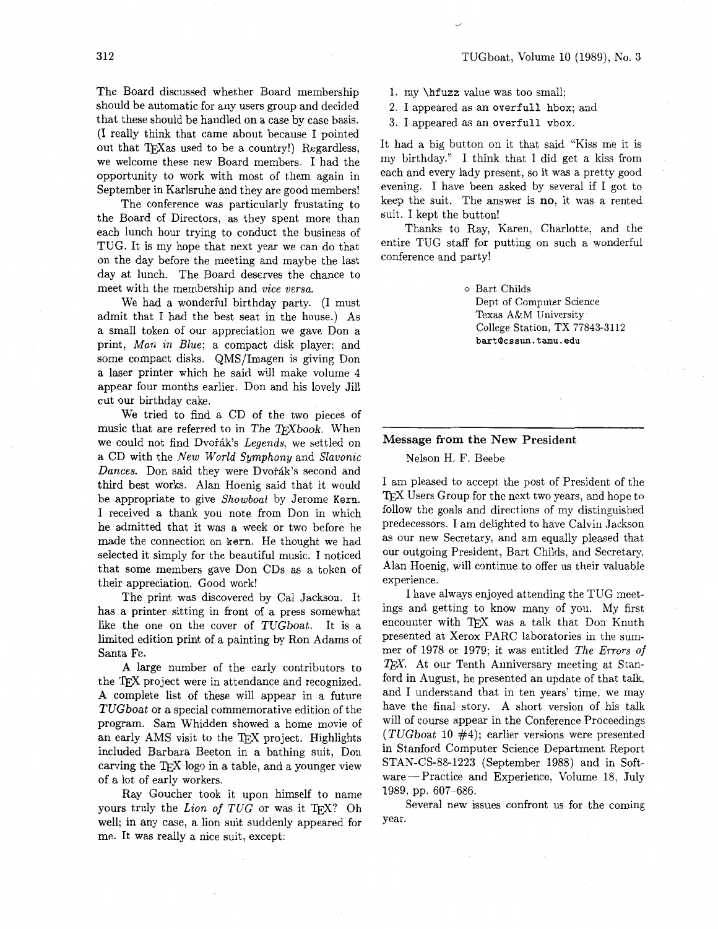The Board discussed whether Board membership should be automatic for any users group and decided that these should be handled on a case by case basis. (I really think that came about because I pointed out that TEX as used to be a country!) Regardless, we welcome these new Board members. I had the opportunity to work with most of them again in September in Karlsruhe and they are good members!

The conference was particularly frustating to the Board of Directors, as they spent more than each lunch hour trying to conduct the business of TUG. It is my hope that next year we can do that on the day before the meeting and maybe the last day at lunch. The Board deserves the chance to meet with the membership and vice versa.

We had a wonderful birthday party. (I must admit that I had the best seat in the house.) As a small token of our appreciation we gave Don a print, Man in Blue; a compact disk player; and some compact disks. QMS/Imagen is giving Don a laser printer which he said will make volume 4 appear four months earlier. Don and his lovely Jill cut our birthday cake.

We tried to find a CD of the two pieces of music that are referred to in The TFXbook. When we could not find Dvořák's Legends, we settled on a CD with the New World Symphony and Slavonic Dances. Don said they were Dvořák's second and third best works. Alan Hoenig said that it would be appropriate to give Showboat by Jerome Kern. I received a thank you note from Don in which he admitted that it was a week or two before he made the connection on kern. He thought we had selected it simply for the beautiful music. I noticed that some members gave Don CDs as a token of their appreciation. Good work!

The print was discovered by Cal Jackson. It has a printer sitting in front of a press somewhat like the one on the cover of TUGboat. It is a limited edition print of a painting by Ron Adams of Santa Fe.

**A** large number of the early contributors to the TEX project were in attendance and recognized. **A** complete list of these will appear in a future TUGboat or a special commemorative edition of the program. Sam Whidden showed a home movie of an early AMS visit to the TEX project. Highlights included Barbara Beeton in a bathing suit, Don carving the TEX logo in a table, and a younger view of a lot of early workers.

Ray Goucher took it upon himself to name yours truly the Lion of  $TUG$  or was it TFX? Oh well; in any case, a lion suit suddenly appeared for me. It was really a nice suit, except:

- 1. my \hf uzz value was too small;
- 2. I appeared as an overfull hbox; and
- **3.** I appeared as an overfull vbox.

It had a big button on it that said "Kiss me it is my birthday." I think that I did get a kiss from each and every lady present, so it was a pretty good evening. I have been asked by several if I got to keep the suit. The answer is no, it was a rented suit. I kept the button!

Thanks to Ray, Karen, Charlotte, and the entire TUG staff for putting on such a wonderful conference and party!

> o Bart Childs Dept of Computer Science Texas A&M University College Station, TX **77843-3112 bart@cssun.tamu.edu**

#### Message from the New President

Nelson H. F. Beebe

I am pleased to accept the post of President of the TEX Users Group for the next two years, and hope to follow the goals and directions of my distinguished predecessors. I am delighted to have Calvin Jackson as our new Secretary, and am equally pleased that our outgoing President, Bart Childs, and Secretary, Alan Hoenig, will continue to offer us their valuable experience.

I have always enjoyed attending the TUG meetings and getting to know many of you. My first encounter with TFX was a talk that Don Knuth presented at Xerox PARC laboratories in the summer of 1978 or 1979; it was entitled The Errors of  $T_F X$ . At our Tenth Anniversary meeting at Stanford in August, he presented an update of that talk, and I understand that in ten years' time, we may have the final story. A short version of his talk will of course appear in the Conference Proceedings (TUGboat 10 #4); earlier versions were presented in Stanford Computer Science Department Report STAN-CS-88-1223 (September 1988) and in Softn Stanford Computer Science Department Report<br>STAN-CS-88-1223 (September 1988) and in Soft-<br>vare — Practice and Experience, Volume 18, July 1989, pp. 607-686.

Several new issues confront us for the coming year.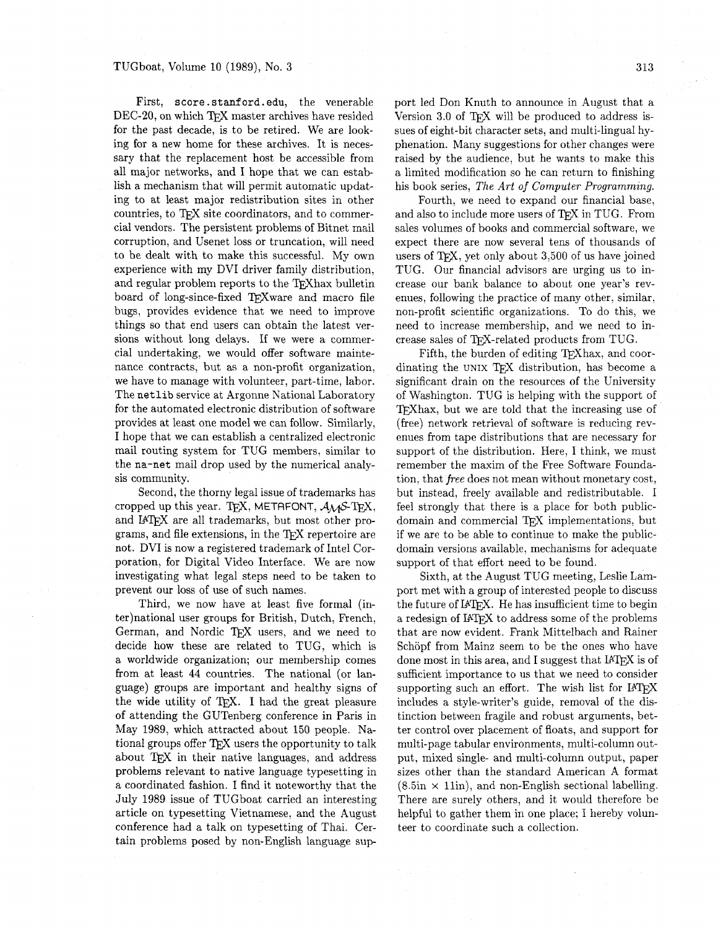First, score.stanford.edu, the venerable DEC-20, on which TFX master archives have resided for the past decade, is to be retired. We are looking for a new home for these archives. It is necessary that the replacement host be accessible from all major networks, and I hope that we can establish a mechanism that will permit automatic updating to at least major redistribution sites in other countries, to TEX site coordinators, and to commercial vendors. The persistent problems of Bitnet mail corruption, and Usenet loss or truncation, will need to be dealt with to make this successful. My own experience with my DVI driver family distribution, and regular problem reports to the TEXhax bulletin board of long-since-fixed TFXware and macro file bugs, provides evidence that we need to improve things so that end users can obtain the latest versions without long delays. If we were a commercial undertaking, we would offer software maintenance contracts, but as a non-profit organization, we have to manage with volunteer, part-time, labor. The netlib service at Argonne National Laboratory for the automated electronic distribution of software provides at least one model we can follow. Similarly, I hope that we can establish a centralized electronic mail routing system for TUG members, similar to the na-net mail drop used by the numerical analysis community.

Second, the thorny legal issue of trademarks has cropped up this year. TEX, METAFONT,  $A_{\mathcal{M}}\mathcal{S}\text{-TFX}$ , and IATFX are all trademarks, but most other programs, and file extensions, in the TFX repertoire are not. DVI is now a registered trademark of Intel Corporation, for Digital Video Interface. We are now investigating what legal steps need to be taken to prevent our loss of use of such names.

Third, we now have at least five formal (inter)national user groups for British, Dutch, French, German, and Nordic TFX users, and we need to decide how these are related to TUG, which is a worldwide organization; our membership comes from at least 44 countries. The national (or language) groups are important and healthy signs of the wide utility of TEX. I had the great pleasure of attending the GUTenberg conference in Paris in May 1989, which attracted about 150 people. National groups offer  $T$  $\overline{K}X$  users the opportunity to talk about TFX in their native languages, and address problems relevant to native language typesetting in a coordinated fashion. I find it noteworthy that the July 1989 issue of TUGboat carried an interesting article on typesetting Vietnamese, and the August conference had a talk on typesetting of Thai. Certain problems posed by non-English language sup

port led Don Knuth to announce in August that a Version 3.0 of TFX will be produced to address issues of eight-bit character sets, and multi-lingual hyphenation. Many suggestions for other changes were raised by the audience, but he wants to make this a limited modification so he can return to finishing his book series, *The Art of Computer Programming.* 

Fourth, we need to expand our financial base, and also to include more users of TFX in TUG. From sales volumes of books and commercial software, we expect there are now several tens of thousands of users of TFX, yet only about  $3,500$  of us have joined TUG. Our financial advisors are urging us to increase our bank balance to about one year's revenues, following the practice of many other, similar, non-profit scientific organizations. To do this, we need to increase membership, and we need to increase sales of TFX-related products from TUG.

Fifth, the burden of editing T<sub>F</sub>Xhax, and coordinating the UNIX TFX distribution, has become a significant drain on the resources of the University of Washington. TUG is helping with the support of TFX hax, but we are told that the increasing use of (free) network retrieval of software is reducing revenues from tape distributions that are necessary for support of the distribution. Here, I think, we must remember the maxim of the Free Software Foundation, that *free* does not mean without monetary cost, but instead, freely available and redistributable. I feel strongly that there is a place for both publicdomain and commercial TEX implementations, but if we are to be able to continue to make the publicdomain versions available, mechanisms for adequate support of that effort need to be found.

Sixth, at the August TUG meeting, Leslie Lamport met with a group of interested people to discuss the future of IATFX. He has insufficient time to begin a redesign of IATFX to address some of the problems that are now evident. Frank Mittelbach and Rainer Schöpf from Mainz seem to be the ones who have done most in this area, and I suggest that  $IATFX$  is of sufficient importance to us that we need to consider supporting such an effort. The wish list for  $IATFX$ includes a style-writer's guide, removal of the distinction between fragile and robust arguments, better control over placement of floats, and support for multi-page tabular environments, multi-column output, mixed single- and multi-column output, paper sizes other than the standard American A format  $(8.5\text{in} \times 11\text{in})$ , and non-English sectional labelling. There are surely others, and it would therefore be helpful to gather them in one place; I hereby volunteer to coordinate such a collection.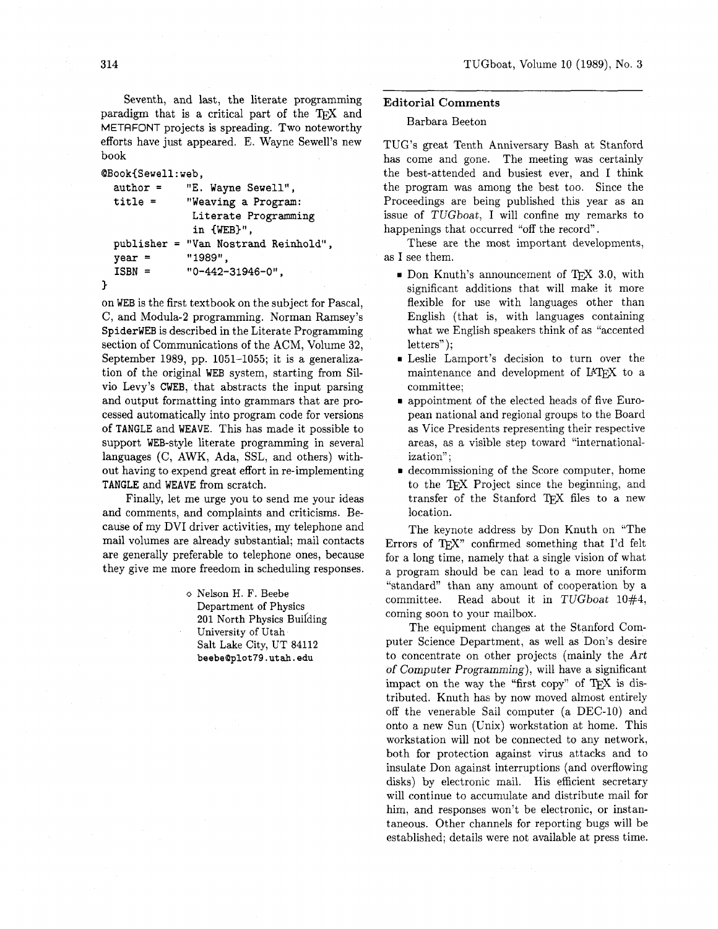Seventh, and last, the literate programming paradigm that is a critical part of the TFX and METAFONT projects is spreading. Two noteworthy efforts have just appeared. E. Wayne Sewell's new book

```
QBook{Sewell:web, 
  author = "E. Wayne Sewell", 
  title = "Weaving a Program: 
                 Literate Programming 
                 in (WEB)", 
  publisher = "Van Nostrand Reinhold", 
  year = "1989",<br>
ISBN = "0-442-
                ISBN = "0-442-31946-O", 
1
```
on **WEB** is the first textbook on the subject for Pascal, C, and Modula-2 programming. Norman Ramsey's **SpiderWEB** is described in the Literate Programming section of Communications of the ACM, Volume **32,**  September 1989, pp. 1051-1055; it is a generalization of the original **WEB** system, starting from Silvio Levy's **CWEB,** that abstracts the input parsing and output formatting into grammars that are processed automatically into program code for versions of **TANGLE** and **WEAVE.** This has made it possible to support WEB-style literate programming in several languages (C, AWK, Ada, SSL, and others) without having to expend great effort in re-implementing **TANGLE** and **WEAVE** from scratch.

Finally, let me urge you to send me your ideas and comments, and complaints and criticisms. Because of my DVI driver activities, my telephone and mail volumes are already substantial; mail contacts are generally preferable to telephone ones, because they give me more freedom in scheduling responses.

> o Nelson H. F. Beebe Department **of** Physics **201 North Physics Building** University **of** Utah Salt Lake City, UT **84112 beebeQplot79.utah.edu**

#### **Editorial Comments**

#### Barbara Beeton

TUG'S great Tenth Anniversary Bash at Stanford has come and gone. The meeting was certainly the best-attended and busiest ever, and I think the program was among the best too. Since the Proceedings are being published this year as an issue of TUGboat, I will confine my remarks to happenings that occurred "off the record".

These are the most important developments, as I see them.

- $\blacksquare$  Don Knuth's announcement of TFX 3.0, with significant additions that will make it more flexible for use with languages other than English (that is, with languages containing what we English speakers think of as "accented letters" );
- Leslie Lamport's decision to turn over the maintenance and development of IATFX to a committee;
- appointment of the elected heads of five European national and regional groups to the Board as Vice Presidents representing their respective areas, as a visible step toward "internationalization":
- decommissioning of the Score computer, home to the Project since the beginning, and transfer of the Stanford TEX files to a new location.

The keynote address by Don Knuth on "The Errors of TEX" confirmed something that I'd felt for a long time, namely that a single vision of what a program should be can lead to a more uniform "standard" than any amount of cooperation by a committee. Read about it in TUGboat  $10\#4$ , coming soon to your mailbox.

The equipment changes at the Stanford Computer Science Department, as well as Don's desire to concentrate on other projects (mainly the Art of Computer Programming), will have a significant impact on the way the "first copy" of  $T_FX$  is distributed. Knuth has by now moved almost entirely off the venerable Sail computer (a DEC-10) and onto a new Sun (Unix) workstation at home. This workstation will not be connected to any network, both for protection against virus attacks and to insulate Don against interruptions (and overflowing disks) by electronic mail. His efficient secretary will continue to accumulate and distribute mail for him, and responses won't be electronic, or instantaneous. Other channels for reporting bugs will be established; details were not available at press time.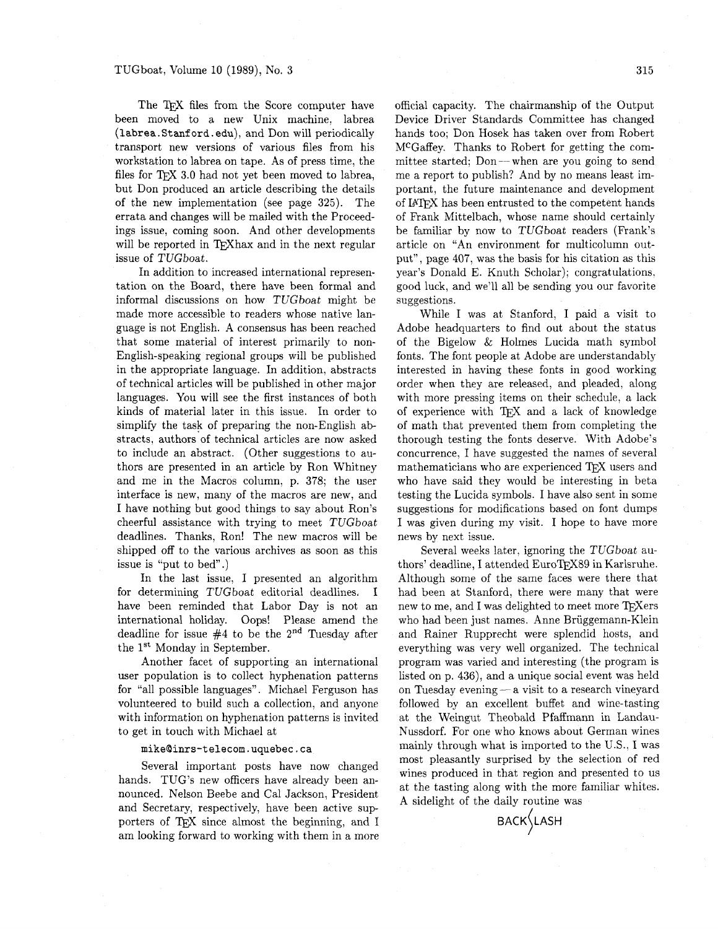The TFX files from the Score computer have been moved to a new Unix machine, labrea (labrea.Stanford.edu), and Don will periodically transport new versions of various files from his workstation to labrea on tape. As of press time, the files for TEX 3.0 had not yet been moved to labrea, but Don produced an article describing the details of the new implementation (see page 325). The errata and changes will be mailed with the Proceedings issue, coming soon. And other developments will be reported in TFX hax and in the next regular issue of TUGboat.

In addition to increased international representation on the Board, there have been formal and informal discussions on how TUGboat might be made more accessible to readers whose native language is not English. A consensus has been reached that some material of interest primarily to non-English-speaking regional groups will be published in the appropriate language. In addition, abstracts of technical articles will be published in other major languages. You will see the first instances of both kinds of material later in this issue. In order to simplify the task of preparing the non-English abstracts, authors of technical articles are now asked to include an abstract. (Other suggestions to authors are presented in an article by Ron Whitney and me in the Macros column, p. 378; the user interface is new, many of the macros are new, and I have nothing but good things to say about Ron's cheerful assistance with trying to meet TUGboat deadlines. Thanks, Ron! The new macros will be shipped off to the various archives as soon as this issue is "put to bed" .)

In the last issue, I presented an algorithm for determining TUGboat editorial deadlines. I have been reminded that Labor Day is not an international holiday. Oops! Please amend the deadline for issue **#4** to be the **2nd** Tuesday after the 1<sup>st</sup> Monday in September.

Another facet of supporting an international user population is to collect hyphenation patterns for "all possible languages". Michael Ferguson has volunteered to build such a collection, and anyone with information on hyphenation patterns is invited to get in touch with Michael at

Several important posts have now changed<br>hands. TUG's new officers have already been an-<br>nounced. Nelson Beebe and Cal Jackson, President at the tasting along with the more familiar whites.<br>and Secretary, respectively, hav porters of QX since almost the beginning, and I am looking forward to working with them in a more

official capacity. The chairmanship of the Output Device Driver Standards Committee has changed hands too; Don Hosek has taken over from Robert MCGaffey. Thanks to Robert for getting the committee started;  $Don$ —when are you going to send me a report to publish? And by no means least important, the future maintenance and development of IATEX has been entrusted to the competent hands of Frank Mittelbach, whose name should certainly be familiar by now to TUGboat readers (Frank's article on "An environment for multicolumn output", page 407, was the basis for his citation as this year's Donald E. Knuth Scholar); congratulations, good luck, and we'll all be sending you our favorite suggestions.

While I was at Stanford, I paid a visit to Adobe headquarters to find out about the status of the Bigelow & Holmes Lucida math symbol fonts. The font people at Adobe are understandably interested in having these fonts in good working order when they are released, and pleaded, along with more pressing items on their schedule, a lack of experience with TFX and a lack of knowledge of math that prevented them from completing the thorough testing the fonts deserve. With Adobe's concurrence. I have suggested the names of several mathematicians who are experienced TFX users and who have said they would be interesting in beta testing the Lucida symbols. I have also sent in some suggestions for modifications based on font dumps I was given during my visit. I hope to have more news by next issue.

Several weeks later, ignoring the TUGboat authors' deadline, I attended EuroTFX89 in Karlsruhe. Although some of the same faces were there that had been at Stanford, there were many that were new to me, and I was delighted to meet more TFXers who had been just names. Anne Briiggemann-Klein and Rainer Rupprecht were splendid hosts, and everything was very well organized. The technical program was varied and interesting (the program is listed on p. **436),** and a unique social event was held on Tuesday evening  $-$  a visit to a research vineyard followed by an excellent buffet and wine-tasting at the Weingut Theobald Pfaffmann in Landau- Nussdorf. For one who knows about German wines mikeQinrs-telecom.uquebec.ca mainly through what is imported to the U.S., I was<br> **most** pleasantly surprised by the selection of red

**BACK LASH**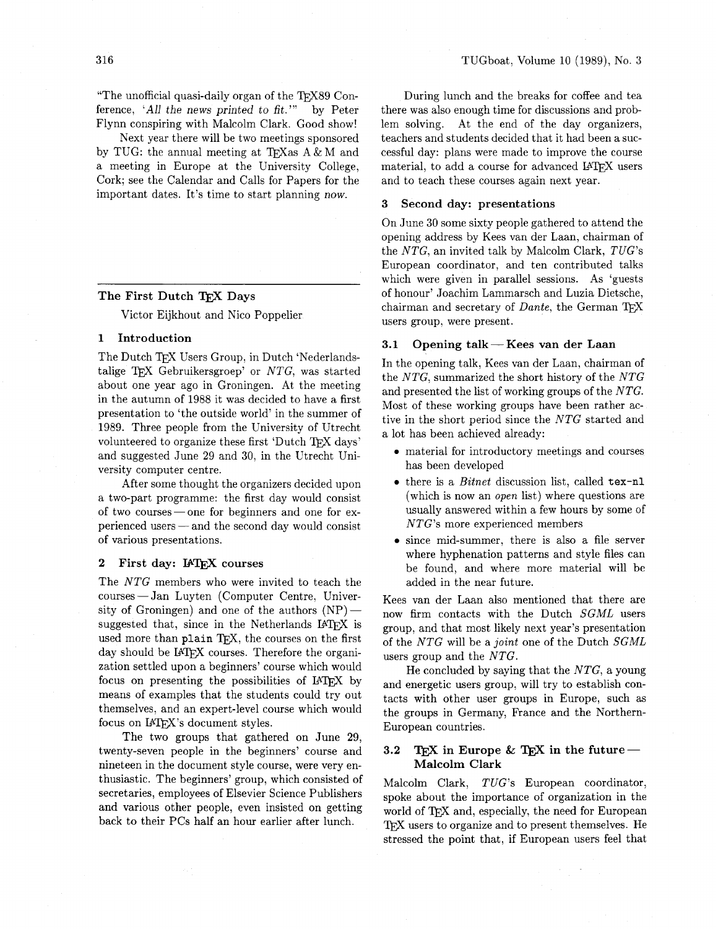"The unofficial quasi-daily organ of the TEX89 Conference, *'All* the news printed to fit."' by Peter Flynn conspiring with Malcolm Clark. Good show!

Next year there will be two meetings sponsored by TUG: the annual meeting at TFX as  $A \& M$  and a meeting in Europe at the University College, Cork; see the Calendar and Calls for Papers for the important dates. It's time to start planning now.

### The First Dutch TFX Days

Victor Eijkhout and Nico Poppelier

#### 1 Introduction

The Dutch TFX Users Group, in Dutch 'Nederlandstalige TEX Gebruikersgroep' or  $NTG$ , was started about one year ago in Groningen. At the meeting in the autumn of 1988 it was decided to have a first presentation to 'the outside world' in the summer of 1989. Three people from the University of Utrecht volunteered to organize these first 'Dutch TFX days' and suggested June 29 and 30, in the Utrecht University computer centre.

After some thought the organizers decided upon After some thought the organizers decided upon<br>a two-part programme: the first day would consist<br>of two courses — one for beginners and one for ex-<br>national terms and the property depended consist of two courses — one for beginners and one for experienced users — and the second day would consist of various presentations.

#### **2** First day: IATFX courses

The NTG members who were invited to teach the courses- Jan Luyten (Computer Centre, Univer-The *NTG* members who were invited to teach the<br>courses — Jan Luyten (Computer Centre, University of Groningen) and one of the authors  $(NP)$  suggested that, since in the Netherlands IATEX is used more than plain TFX, the courses on the first day should be IATEX courses. Therefore the organization settled upon a beginners' course which would focus on presenting the possibilities of IATFX by means of examples that the students could try out themselves, and an expert-level course which would focus on IATFX's document styles.

The two groups that gathered on June 29, twenty-seven people in the beginners' course and nineteen in the document style course, were very enthusiastic. The beginners' group, which consisted of secretaries, employees of Elsevier Science Publishers and various other people, even insisted on getting back to their PCs half an hour earlier after lunch.

During lunch and the breaks for coffee and tea there was also enough time for discussions and problem solving. At the end of the day organizers, teachers and students decided that it had been a successful day: plans were made to improve the course material, to add a course for advanced IATFX users and to teach these courses again next year.

#### **3** Second day: presentations

On June 30 some sixty people gathered to attend the opening address by Kees van der Laan, chairman of the NTG, an invited talk by Malcolm Clark, TUG's European coordinator, and ten contributed talks which were given in parallel sessions. As 'guests of honour' Joachim Lammarsch and Luzia Dietsche, chairman and secretary of  $Dante$ , the German TFX users group, were present.

#### **3.1** Opening talk- Kees van der Laan

In the opening talk, Kees van der Laan, chairman of the NTG, summarized the short history of the NTG and presented the list of working groups of the NTG. Most of these working groups have been rather active in the short period since the NTG started and a lot has been achieved already:

- material for introductory meetings and courses has been developed
- there is a Bitnet discussion list, called **tex-nl**  (which is now an open list) where questions are usually answered within a few hours by some of NTG's more experienced members
- since mid-summer, there is also a file server where hyphenation patterns and style files can be found, and where more material will be added in the near future.

Kees van der Laan also mentioned that there are now firm contacts with the Dutch SGML users group, and that most likely next year's presentation of the NTG will be a joint one of the Dutch SGML users group and the NTG.

He concluded by saying that the  $NTG$ , a young and energetic users group, will try to establish contacts with other user groups in Europe, such as the groups in Germany, France and the Northern-European countries.

#### **3.2 TEX** in Europe & TEX in the future-Malcolm Clark

Malcolm Clark, TUG's European coordinator, spoke about the importance of organization in the world of TEX and, especially, the need for European TFX users to organize and to present themselves. He stressed the point that, if European users feel that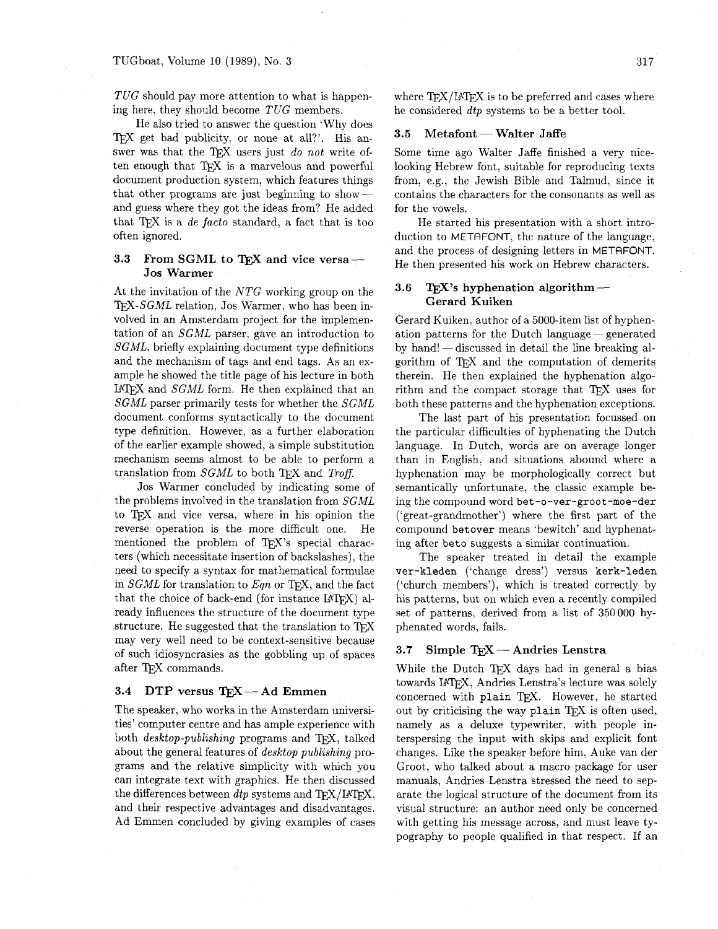TUG should pay more attention to what is happening here, they should become *TUG* members.

He also tried to answer the question 'Why does TFX get bad publicity, or none at all?'. His answer was that the TFX users just *do not* write often enough that  $TFX$  is a marvelous and powerful document production system, which features things that other programs are just beginning to showand guess where they got the ideas from? He added that *TEX* is a *de facto* standard, a fact that is too often ignored.

### 3.3 From SGML to TEX and vice versa-**Jos Warmer**

At the invitation of the *NTG* working group on the TFX-SGML relation, Jos Warmer, who has been involved in an Amsterdam project for the implementation of an *SGML* parser, gave an introduction to *SGML,* briefly explaining document type definitions and the mechanism of tags and end tags. As an example he showed the title page of his lecture in both I<sup>AT</sup>FX and *SGML* form. He then explained that an *SGML* parser primarily tests for whether the *SGML*  document conforms syntactically to the document type definition. However, as a further elaboration of the earlier example showed, a simple substitution mechanism seems almost to be able to perform a translation from *SGML* to both TFX and *Troff.* 

Jos Warmer concluded by indicating some of the problems involved in the translation from *SGML*  to T<sub>E</sub>X and vice versa, where in his opinion the reverse operation is the more difficult one. He reverse operation is the more difficult one. mentioned the problem of TFX's special characters (which necessitate insertion of backslashes), the need to specify a syntax for mathematical formulae in *SGML* for translation to *Eqn* or T<sub>F</sub>X, and the fact that the choice of back-end (for instance  $IATFX$ ) already influences the structure of the document type structure. He suggested that the translation to may very well need to be context-sensitive because of such idiosyncrasies as the gobbling up of spaces after T<sub>F</sub>X commands.

#### **3.4 DTP versus TEX** - Ad Emmen

The speaker, who works in the Amsterdam universities' computer centre and has ample experience with both *desktop-publishing* programs and TFX, talked about the general features of *desktop publishing* programs and the relative simplicity with which you can integrate text with graphics. He then discussed the differences between *dtp* systems and TEX/IATEX, and their respective advantages and disadvantages. Ad Emmen concluded by giving examples of cases where  $TrX/IATFX$  is to be preferred and cases where he considered *dtp* systems to be a better tool.<br> **3.5 Metafont** — **Walter Jaffe** 

Some time ago Walter Jaffe finished a very nicelooking Hebrew font, suitable for reproducing texts from. e.g., the Jewish Bible and Talmud, since it contains the characters for the consonants as well as for the vowels.

He started his presentation with a short introduction to METAFONT, the nature of the language, and the process of designing letters in METAFONT.

## He then presented his work on Hebrew characters.<br> **3.6 TEX's hyphenation algorithm** —<br>
Connot Kuiken **Gerard Kuiken**

Gerard Kuiken, author of a 5000-item list of hyphenation patterns for the Dutch language-generated by hand! - discussed in detail the line breaking algorithm of TFX and the computation of demerits therein. He then explained the hyphenation algorithm and the compact storage that  $TFX$  uses for both these patterns and the hyphenation exceptions.

The last part of his presentation focussed on the particular difficulties of hyphenating the Dutch language. In Dutch, words are on average longer than in English. and situations abound where a hyphenation may be morphologically correct but semantically unfortunate, the classic example being the compound word **bet -0-ver-groot-moe-der**  ('great-grandmother') where the first part of the compound **betover** means 'bewitch' and hyphenating after **beto** suggests a similar continuation.

The speaker treated in detail the example  $ver-kleden$  ('change dress') versus kerk-leden ('church members'), which is treated correctly by his patterns, but on which even a recently compiled set of patterns, derived from a list of 350000 hyphenated words, fails.

#### **3.7** Simple  $T_FX$  - Andries Lenstra

While the Dutch TEX days had in general a bias towards IATFX, Andries Lenstra's lecture was solely concerned with plain TEX. However, he started out by criticising the way plain  $T_F X$  is often used, namely as a deluxe typewriter, with people interspersing the input with skips and explicit font changes. Like the speaker before him, Auke van der Groot, who talked about a macro package for user manuals, Andries Lenstra stressed the need to separate the logical structure of the document from its visual structure: an author need only be concerned with getting his message across, and must leave typography to people qualified in that respect. If an